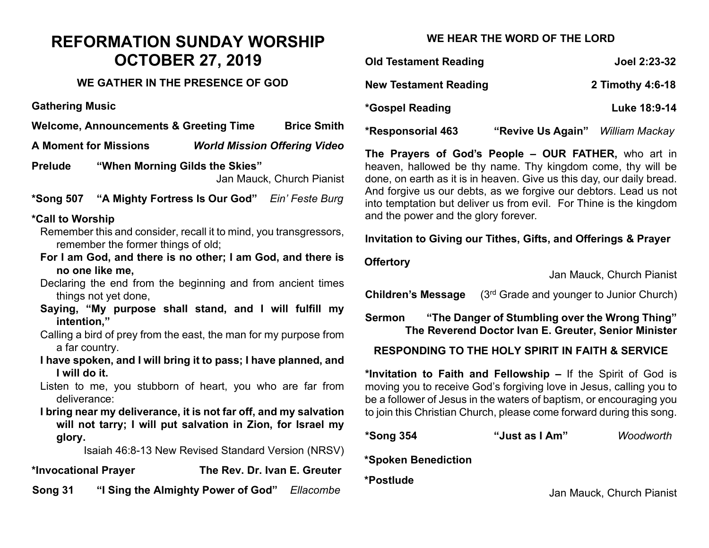# **REFORMATION SUNDAY WORSHIP OCTOBER 27, 2019**

## **WE GATHER IN THE PRESENCE OF GOD**

**Gathering Music**

**Welcome, Announcements & Greeting Time Brice Smith**

**A Moment for Missions** *World Mission Offering Video*

**Prelude "When Morning Gilds the Skies"**  Jan Mauck, Church Pianist

**\*Song 507 "A Mighty Fortress Is Our God"** *Ein' Feste Burg*

### **\*Call to Worship**

- Remember this and consider, recall it to mind, you transgressors, remember the former things of old;
- **For I am God, and there is no other; I am God, and there is no one like me,**

Declaring the end from the beginning and from ancient times things not yet done,

**Saying, "My purpose shall stand, and I will fulfill my intention,"**

Calling a bird of prey from the east, the man for my purpose from a far country.

**I have spoken, and I will bring it to pass; I have planned, and I will do it.**

Listen to me, you stubborn of heart, you who are far from deliverance:

**I bring near my deliverance, it is not far off, and my salvation will not tarry; I will put salvation in Zion, for Israel my glory.**

Isaiah 46:8-13 New Revised Standard Version (NRSV)

**\*Invocational Prayer The Rev. Dr. Ivan E. Greuter** 

**Song 31 "I Sing the Almighty Power of God"** *Ellacombe*

# **WE HEAR THE WORD OF THE LORD**

| <b>Old Testament Reading</b> | Joel 2:23-32     |
|------------------------------|------------------|
| <b>New Testament Reading</b> | 2 Timothy 4:6-18 |
| <i>*Gospel Reading</i>       | Luke 18:9-14     |

**\*Responsorial 463 "Revive Us Again"** *William Mackay*

**The Prayers of God's People – OUR FATHER,** who art in heaven, hallowed be thy name. Thy kingdom come, thy will be done, on earth as it is in heaven. Give us this day, our daily bread. And forgive us our debts, as we forgive our debtors. Lead us not into temptation but deliver us from evil. For Thine is the kingdom and the power and the glory forever.

## **Invitation to Giving our Tithes, Gifts, and Offerings & Prayer**

## **Offertory**

Jan Mauck, Church Pianist

**Children's Message** (3<sup>rd</sup> Grade and younger to Junior Church)

**Sermon "The Danger of Stumbling over the Wrong Thing" The Reverend Doctor Ivan E. Greuter, Senior Minister**

### **RESPONDING TO THE HOLY SPIRIT IN FAITH & SERVICE**

**\*Invitation to Faith and Fellowship –** If the Spirit of God is moving you to receive God's forgiving love in Jesus, calling you to be a follower of Jesus in the waters of baptism, or encouraging you to join this Christian Church, please come forward during this song.

**\*Song 354 "Just as I Am"** *Woodworth*

**\*Spoken Benediction** 

**\*Postlude** 

Jan Mauck, Church Pianist